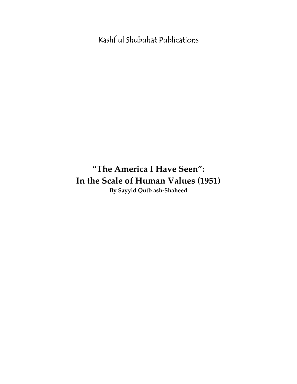Kashf ul Shubuhat Publications

**"The America I Have Seen": In the Scale of Human Values (1951) By Sayyid Qutb ash‐Shaheed**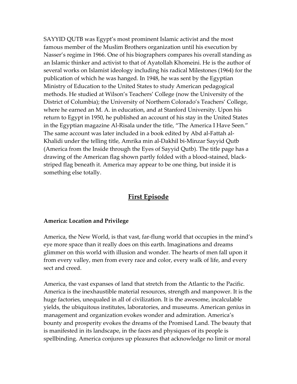SAYYID QUTB was Egypt's most prominent Islamic activist and the most famous member of the Muslim Brothers organization until his execution by Nasser's regime in 1966. One of his biographers compares his overall standing as an Islamic thinker and activist to that of Ayatollah Khomeini. He is the author of several works on Islamist ideology including his radical Milestones (1964) for the publication of which he was hanged. In 1948, he was sent by the Egyptian Ministry of Education to the United States to study American pedagogical methods. He studied at Wilson's Teachers' College (now the University of the District of Columbia); the University of Northern Colorado's Teachers' College, where he earned an M. A. in education, and at Stanford University. Upon his return to Egypt in 1950, he published an account of his stay in the United States in the Egyptian magazine Al-Risala under the title, "The America I Have Seen." The same account was later included in a book edited by Abd al‐Fattah al‐ Khalidi under the telling title, Amrika min al‐Dakhil bi‐Minzar Sayyid Qutb (America from the Inside through the Eyes of Sayyid Qutb). The title page has a drawing of the American flag shown partly folded with a blood‐stained, black‐ striped flag beneath it. America may appear to be one thing, but inside it is something else totally.

# **First Episode**

#### **America: Location and Privilege**

America, the New World, is that vast, far-flung world that occupies in the mind's eye more space than it really does on this earth. Imaginations and dreams glimmer on this world with illusion and wonder. The hearts of men fall upon it from every valley, men from every race and color, every walk of life, and every sect and creed.

America, the vast expanses of land that stretch from the Atlantic to the Pacific. America is the inexhaustible material resources, strength and manpower. It is the huge factories, unequaled in all of civilization. It is the awesome, incalculable yields, the ubiquitous institutes, laboratories, and museums. American genius in management and organization evokes wonder and admiration. America's bounty and prosperity evokes the dreams of the Promised Land. The beauty that is manifested in its landscape, in the faces and physiques of its people is spellbinding. America conjures up pleasures that acknowledge no limit or moral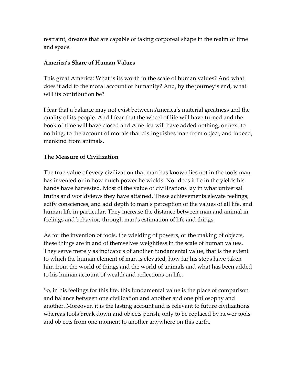restraint, dreams that are capable of taking corporeal shape in the realm of time and space.

# **America's Share of Human Values**

This great America: What is its worth in the scale of human values? And what does it add to the moral account of humanity? And, by the journey's end, what will its contribution be?

I fear that a balance may not exist between America's material greatness and the quality of its people. And I fear that the wheel of life will have turned and the book of time will have closed and America will have added nothing, or next to nothing, to the account of morals that distinguishes man from object, and indeed, mankind from animals.

# **The Measure of Civilization**

The true value of every civilization that man has known lies not in the tools man has invented or in how much power he wields. Nor does it lie in the yields his hands have harvested. Most of the value of civilizations lay in what universal truths and worldviews they have attained. These achievements elevate feelings, edify consciences, and add depth to man's perception of the values of all life, and human life in particular. They increase the distance between man and animal in feelings and behavior, through man's estimation of life and things.

As for the invention of tools, the wielding of powers, or the making of objects, these things are in and of themselves weightless in the scale of human values. They serve merely as indicators of another fundamental value, that is the extent to which the human element of man is elevated, how far his steps have taken him from the world of things and the world of animals and what has been added to his human account of wealth and reflections on life.

So, in his feelings for this life, this fundamental value is the place of comparison and balance between one civilization and another and one philosophy and another. Moreover, it is the lasting account and is relevant to future civilizations whereas tools break down and objects perish, only to be replaced by newer tools and objects from one moment to another anywhere on this earth.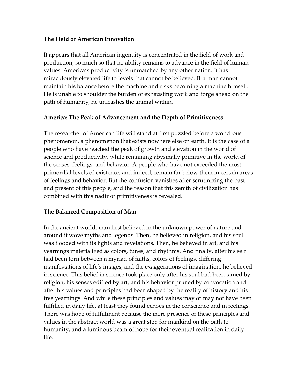# **The Field of American Innovation**

It appears that all American ingenuity is concentrated in the field of work and production, so much so that no ability remains to advance in the field of human values. America's productivity is unmatched by any other nation. It has miraculously elevated life to levels that cannot be believed. But man cannot maintain his balance before the machine and risks becoming a machine himself. He is unable to shoulder the burden of exhausting work and forge ahead on the path of humanity, he unleashes the animal within.

#### **America: The Peak of Advancement and the Depth of Primitiveness**

The researcher of American life will stand at first puzzled before a wondrous phenomenon, a phenomenon that exists nowhere else on earth. It is the case of a people who have reached the peak of growth and elevation in the world of science and productivity, while remaining abysmally primitive in the world of the senses, feelings, and behavior. A people who have not exceeded the most primordial levels of existence, and indeed, remain far below them in certain areas of feelings and behavior. But the confusion vanishes after scrutinizing the past and present of this people, and the reason that this zenith of civilization has combined with this nadir of primitiveness is revealed.

# **The Balanced Composition of Man**

In the ancient world, man first believed in the unknown power of nature and around it wove myths and legends. Then, he believed in religion, and his soul was flooded with its lights and revelations. Then, he believed in art, and his yearnings materialized as colors, tunes, and rhythms. And finally, after his self had been torn between a myriad of faiths, colors of feelings, differing manifestations of life's images, and the exaggerations of imagination, he believed in science. This belief in science took place only after his soul had been tamed by religion, his senses edified by art, and his behavior pruned by convocation and after his values and principles had been shaped by the reality of history and his free yearnings. And while these principles and values may or may not have been fulfilled in daily life, at least they found echoes in the conscience and in feelings. There was hope of fulfillment because the mere presence of these principles and values in the abstract world was a great step for mankind on the path to humanity, and a luminous beam of hope for their eventual realization in daily life.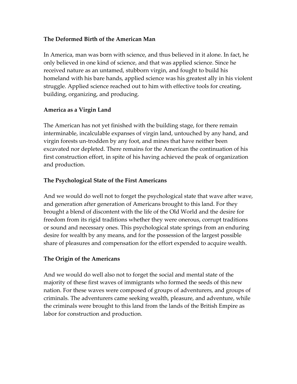# **The Deformed Birth of the American Man**

In America, man was born with science, and thus believed in it alone. In fact, he only believed in one kind of science, and that was applied science. Since he received nature as an untamed, stubborn virgin, and fought to build his homeland with his bare hands, applied science was his greatest ally in his violent struggle. Applied science reached out to him with effective tools for creating, building, organizing, and producing.

# **America as a Virgin Land**

The American has not yet finished with the building stage, for there remain interminable, incalculable expanses of virgin land, untouched by any hand, and virgin forests un‐trodden by any foot, and mines that have neither been excavated nor depleted. There remains for the American the continuation of his first construction effort, in spite of his having achieved the peak of organization and production.

# **The Psychological State of the First Americans**

And we would do well not to forget the psychological state that wave after wave, and generation after generation of Americans brought to this land. For they brought a blend of discontent with the life of the Old World and the desire for freedom from its rigid traditions whether they were onerous, corrupt traditions or sound and necessary ones. This psychological state springs from an enduring desire for wealth by any means, and for the possession of the largest possible share of pleasures and compensation for the effort expended to acquire wealth.

# **The Origin of the Americans**

And we would do well also not to forget the social and mental state of the majority of these first waves of immigrants who formed the seeds of this new nation. For these waves were composed of groups of adventurers, and groups of criminals. The adventurers came seeking wealth, pleasure, and adventure, while the criminals were brought to this land from the lands of the British Empire as labor for construction and production.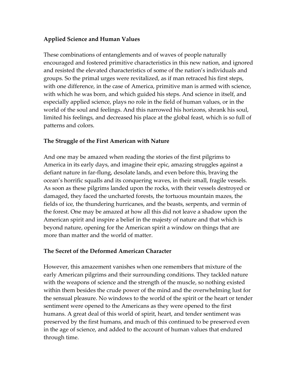# **Applied Science and Human Values**

These combinations of entanglements and of waves of people naturally encouraged and fostered primitive characteristics in this new nation, and ignored and resisted the elevated characteristics of some of the nation's individuals and groups. So the primal urges were revitalized, as if man retraced his first steps, with one difference, in the case of America, primitive man is armed with science, with which he was born, and which guided his steps. And science in itself, and especially applied science, plays no role in the field of human values, or in the world of the soul and feelings. And this narrowed his horizons, shrank his soul, limited his feelings, and decreased his place at the global feast, which is so full of patterns and colors.

# **The Struggle of the First American with Nature**

And one may be amazed when reading the stories of the first pilgrims to America in its early days, and imagine their epic, amazing struggles against a defiant nature in far‐flung, desolate lands, and even before this, braving the ocean's horrific squalls and its conquering waves, in their small, fragile vessels. As soon as these pilgrims landed upon the rocks, with their vessels destroyed or damaged, they faced the uncharted forests, the tortuous mountain mazes, the fields of ice, the thundering hurricanes, and the beasts, serpents, and vermin of the forest. One may be amazed at how all this did not leave a shadow upon the American spirit and inspire a belief in the majesty of nature and that which is beyond nature, opening for the American spirit a window on things that are more than matter and the world of matter.

# **The Secret of the Deformed American Character**

However, this amazement vanishes when one remembers that mixture of the early American pilgrims and their surrounding conditions. They tackled nature with the weapons of science and the strength of the muscle, so nothing existed within them besides the crude power of the mind and the overwhelming lust for the sensual pleasure. No windows to the world of the spirit or the heart or tender sentiment were opened to the Americans as they were opened to the first humans. A great deal of this world of spirit, heart, and tender sentiment was preserved by the first humans, and much of this continued to be preserved even in the age of science, and added to the account of human values that endured through time.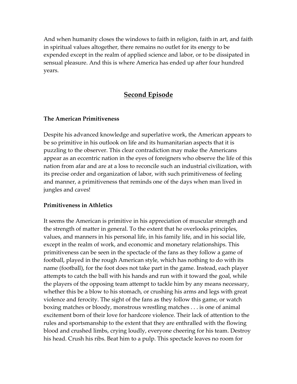And when humanity closes the windows to faith in religion, faith in art, and faith in spiritual values altogether, there remains no outlet for its energy to be expended except in the realm of applied science and labor, or to be dissipated in sensual pleasure. And this is where America has ended up after four hundred years.

# **Second Episode**

#### **The American Primitiveness**

Despite his advanced knowledge and superlative work, the American appears to be so primitive in his outlook on life and its humanitarian aspects that it is puzzling to the observer. This clear contradiction may make the Americans appear as an eccentric nation in the eyes of foreigners who observe the life of this nation from afar and are at a loss to reconcile such an industrial civilization, with its precise order and organization of labor, with such primitiveness of feeling and manner, a primitiveness that reminds one of the days when man lived in jungles and caves!

# **Primitiveness in Athletics**

It seems the American is primitive in his appreciation of muscular strength and the strength of matter in general. To the extent that he overlooks principles, values, and manners in his personal life, in his family life, and in his social life, except in the realm of work, and economic and monetary relationships. This primitiveness can be seen in the spectacle of the fans as they follow a game of football, played in the rough American style, which has nothing to do with its name (football), for the foot does not take part in the game. Instead, each player attempts to catch the ball with his hands and run with it toward the goal, while the players of the opposing team attempt to tackle him by any means necessary, whether this be a blow to his stomach, or crushing his arms and legs with great violence and ferocity. The sight of the fans as they follow this game, or watch boxing matches or bloody, monstrous wrestling matches . . . is one of animal excitement born of their love for hardcore violence. Their lack of attention to the rules and sportsmanship to the extent that they are enthralled with the flowing blood and crushed limbs, crying loudly, everyone cheering for his team. Destroy his head. Crush his ribs. Beat him to a pulp. This spectacle leaves no room for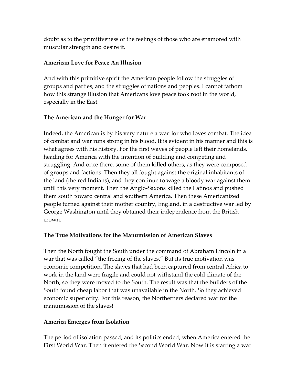doubt as to the primitiveness of the feelings of those who are enamored with muscular strength and desire it.

#### **American Love for Peace An Illusion**

And with this primitive spirit the American people follow the struggles of groups and parties, and the struggles of nations and peoples. I cannot fathom how this strange illusion that Americans love peace took root in the world, especially in the East.

# **The American and the Hunger for War**

Indeed, the American is by his very nature a warrior who loves combat. The idea of combat and war runs strong in his blood. It is evident in his manner and this is what agrees with his history. For the first waves of people left their homelands, heading for America with the intention of building and competing and struggling. And once there, some of them killed others, as they were composed of groups and factions. Then they all fought against the original inhabitants of the land (the red Indians), and they continue to wage a bloody war against them until this very moment. Then the Anglo‐Saxons killed the Latinos and pushed them south toward central and southern America. Then these Americanized people turned against their mother country, England, in a destructive war led by George Washington until they obtained their independence from the British crown.

#### **The True Motivations for the Manumission of American Slaves**

Then the North fought the South under the command of Abraham Lincoln in a war that was called "the freeing of the slaves." But its true motivation was economic competition. The slaves that had been captured from central Africa to work in the land were fragile and could not withstand the cold climate of the North, so they were moved to the South. The result was that the builders of the South found cheap labor that was unavailable in the North. So they achieved economic superiority. For this reason, the Northerners declared war for the manumission of the slaves!

#### **America Emerges from Isolation**

The period of isolation passed, and its politics ended, when America entered the First World War. Then it entered the Second World War. Now it is starting a war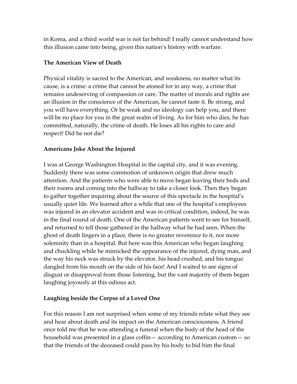in Korea, and a third world war is not far behind! I really cannot understand how this illusion came into being, given this nation's history with warfare.

#### **The American View of Death**

Physical vitality is sacred to the American, and weakness, no matter what its cause, is a crime: a crime that cannot be atoned for in any way, a crime that remains undeserving of compassion or care. The matter of morals and rights are an illusion in the conscience of the American, he cannot taste it. Be strong, and you will have everything. Or be weak and no ideology can help you, and there will be no place for you in the great realm of living. As for him who dies, he has committed, naturally, the crime of death. He loses all his rights to care and respect! Did he not die?

#### **Americans Joke About the Injured**

I was at George Washington Hospital in the capital city, and it was evening. Suddenly there was some commotion of unknown origin that drew much attention. And the patients who were able to move began leaving their beds and their rooms and coming into the hallway to take a closer look. Then they began to gather together inquiring about the source of this spectacle in the hospital's usually quiet life. We learned after a while that one of the hospital's employees was injured in an elevator accident and was in critical condition, indeed, he was in the final round of death. One of the American patients went to see for himself, and returned to tell those gathered in the hallway what he had seen. When the ghost of death lingers in a place, there is no greater reverence to it, nor more solemnity than in a hospital. But here was this American who began laughing and chuckling while he mimicked the appearance of the injured, dying man, and the way his neck was struck by the elevator, his head crushed, and his tongue dangled from his mouth on the side of his face! And I waited to see signs of disgust or disapproval from those listening, but the vast majority of them began laughing joyously at this odious act.

# **Laughing beside the Corpse of a Loved One**

For this reason I am not surprised when some of my friends relate what they see and hear about death and its impact on the American consciousness. A friend once told me that he was attending a funeral when the body of the head of the household was presented in a glass coffin— according to American custom— so that the friends of the deceased could pass by his body to bid him the final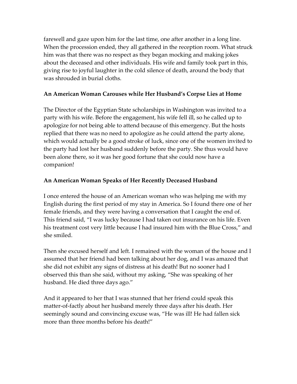farewell and gaze upon him for the last time, one after another in a long line. When the procession ended, they all gathered in the reception room. What struck him was that there was no respect as they began mocking and making jokes about the deceased and other individuals. His wife and family took part in this, giving rise to joyful laughter in the cold silence of death, around the body that was shrouded in burial cloths.

# **An American Woman Carouses while Her Husband's Corpse Lies at Home**

The Director of the Egyptian State scholarships in Washington was invited to a party with his wife. Before the engagement, his wife fell ill, so he called up to apologize for not being able to attend because of this emergency. But the hosts replied that there was no need to apologize as he could attend the party alone, which would actually be a good stroke of luck, since one of the women invited to the party had lost her husband suddenly before the party. She thus would have been alone there, so it was her good fortune that she could now have a companion!

# **An American Woman Speaks of Her Recently Deceased Husband**

I once entered the house of an American woman who was helping me with my English during the first period of my stay in America. So I found there one of her female friends, and they were having a conversation that I caught the end of. This friend said, "I was lucky because I had taken out insurance on his life. Even his treatment cost very little because I had insured him with the Blue Cross," and she smiled.

Then she excused herself and left. I remained with the woman of the house and I assumed that her friend had been talking about her dog, and I was amazed that she did not exhibit any signs of distress at his death! But no sooner had I observed this than she said, without my asking, "She was speaking of her husband. He died three days ago."

And it appeared to her that I was stunned that her friend could speak this matter‐of‐factly about her husband merely three days after his death. Her seemingly sound and convincing excuse was, "He was ill! He had fallen sick more than three months before his death!"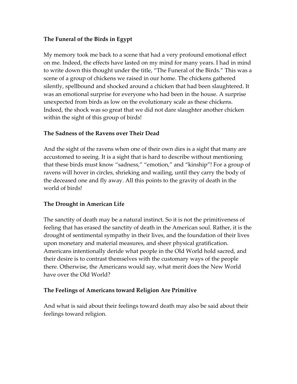# **The Funeral of the Birds in Egypt**

My memory took me back to a scene that had a very profound emotional effect on me. Indeed, the effects have lasted on my mind for many years. I had in mind to write down this thought under the title, "The Funeral of the Birds." This was a scene of a group of chickens we raised in our home. The chickens gathered silently, spellbound and shocked around a chicken that had been slaughtered. It was an emotional surprise for everyone who had been in the house. A surprise unexpected from birds as low on the evolutionary scale as these chickens. Indeed, the shock was so great that we did not dare slaughter another chicken within the sight of this group of birds!

# **The Sadness of the Ravens over Their Dead**

And the sight of the ravens when one of their own dies is a sight that many are accustomed to seeing. It is a sight that is hard to describe without mentioning that these birds must know "sadness," "emotion," and "kinship"! For a group of ravens will hover in circles, shrieking and wailing, until they carry the body of the deceased one and fly away. All this points to the gravity of death in the world of birds!

# **The Drought in American Life**

The sanctity of death may be a natural instinct. So it is not the primitiveness of feeling that has erased the sanctity of death in the American soul. Rather, it is the drought of sentimental sympathy in their lives, and the foundation of their lives upon monetary and material measures, and sheer physical gratification. Americans intentionally deride what people in the Old World hold sacred, and their desire is to contrast themselves with the customary ways of the people there. Otherwise, the Americans would say, what merit does the New World have over the Old World?

# **The Feelings of Americans toward Religion Are Primitive**

And what is said about their feelings toward death may also be said about their feelings toward religion.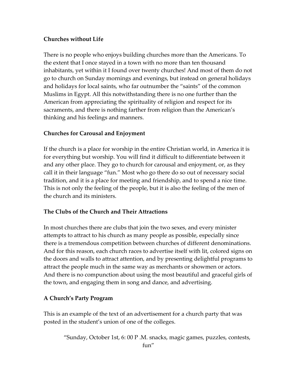# **Churches without Life**

There is no people who enjoys building churches more than the Americans. To the extent that I once stayed in a town with no more than ten thousand inhabitants, yet within it I found over twenty churches! And most of them do not go to church on Sunday mornings and evenings, but instead on general holidays and holidays for local saints, who far outnumber the "saints" of the common Muslims in Egypt. All this notwithstanding there is no one further than the American from appreciating the spirituality of religion and respect for its sacraments, and there is nothing farther from religion than the American's thinking and his feelings and manners.

# **Churches for Carousal and Enjoyment**

If the church is a place for worship in the entire Christian world, in America it is for everything but worship. You will find it difficult to differentiate between it and any other place. They go to church for carousal and enjoyment, or, as they call it in their language "fun." Most who go there do so out of necessary social tradition, and it is a place for meeting and friendship, and to spend a nice time. This is not only the feeling of the people, but it is also the feeling of the men of the church and its ministers.

# **The Clubs of the Church and Their Attractions**

In most churches there are clubs that join the two sexes, and every minister attempts to attract to his church as many people as possible, especially since there is a tremendous competition between churches of different denominations. And for this reason, each church races to advertise itself with lit, colored signs on the doors and walls to attract attention, and by presenting delightful programs to attract the people much in the same way as merchants or showmen or actors. And there is no compunction about using the most beautiful and graceful girls of the town, and engaging them in song and dance, and advertising.

# **A Church's Party Program**

This is an example of the text of an advertisement for a church party that was posted in the student's union of one of the colleges.

"Sunday, October 1st, 6: 00 P .M. snacks, magic games, puzzles, contests, fun"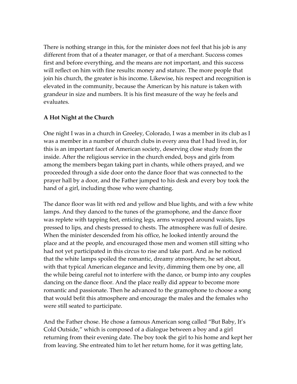There is nothing strange in this, for the minister does not feel that his job is any different from that of a theater manager, or that of a merchant. Success comes first and before everything, and the means are not important, and this success will reflect on him with fine results: money and stature. The more people that join his church, the greater is his income. Likewise, his respect and recognition is elevated in the community, because the American by his nature is taken with grandeur in size and numbers. It is his first measure of the way he feels and evaluates.

# **A Hot Night at the Church**

One night I was in a church in Greeley, Colorado, I was a member in its club as I was a member in a number of church clubs in every area that I had lived in, for this is an important facet of American society, deserving close study from the inside. After the religious service in the church ended, boys and girls from among the members began taking part in chants, while others prayed, and we proceeded through a side door onto the dance floor that was connected to the prayer hall by a door, and the Father jumped to his desk and every boy took the hand of a girl, including those who were chanting.

The dance floor was lit with red and yellow and blue lights, and with a few white lamps. And they danced to the tunes of the gramophone, and the dance floor was replete with tapping feet, enticing legs, arms wrapped around waists, lips pressed to lips, and chests pressed to chests. The atmosphere was full of desire. When the minister descended from his office, he looked intently around the place and at the people, and encouraged those men and women still sitting who had not yet participated in this circus to rise and take part. And as he noticed that the white lamps spoiled the romantic, dreamy atmosphere, he set about, with that typical American elegance and levity, dimming them one by one, all the while being careful not to interfere with the dance, or bump into any couples dancing on the dance floor. And the place really did appear to become more romantic and passionate. Then he advanced to the gramophone to choose a song that would befit this atmosphere and encourage the males and the females who were still seated to participate.

And the Father chose. He chose a famous American song called "But Baby, It's Cold Outside," which is composed of a dialogue between a boy and a girl returning from their evening date. The boy took the girl to his home and kept her from leaving. She entreated him to let her return home, for it was getting late,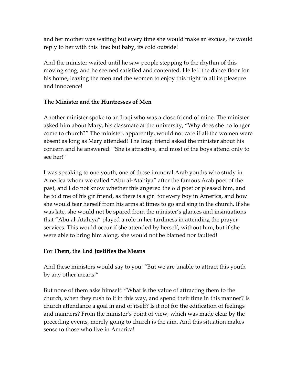and her mother was waiting but every time she would make an excuse, he would reply to her with this line: but baby, its cold outside!

And the minister waited until he saw people stepping to the rhythm of this moving song, and he seemed satisfied and contented. He left the dance floor for his home, leaving the men and the women to enjoy this night in all its pleasure and innocence!

# **The Minister and the Huntresses of Men**

Another minister spoke to an Iraqi who was a close friend of mine. The minister asked him about Mary, his classmate at the university, "Why does she no longer come to church?" The minister, apparently, would not care if all the women were absent as long as Mary attended! The Iraqi friend asked the minister about his concern and he answered: "She is attractive, and most of the boys attend only to see her!"

I was speaking to one youth, one of those immoral Arab youths who study in America whom we called "Abu al‐Atahiya" after the famous Arab poet of the past, and I do not know whether this angered the old poet or pleased him, and he told me of his girlfriend, as there is a girl for every boy in America, and how she would tear herself from his arms at times to go and sing in the church. If she was late, she would not be spared from the minister's glances and insinuations that "Abu al‐Atahiya" played a role in her tardiness in attending the prayer services. This would occur if she attended by herself, without him, but if she were able to bring him along, she would not be blamed nor faulted!

# **For Them, the End Justifies the Means**

And these ministers would say to you: "But we are unable to attract this youth by any other means!"

But none of them asks himself: "What is the value of attracting them to the church, when they rush to it in this way, and spend their time in this manner? Is church attendance a goal in and of itself? Is it not for the edification of feelings and manners? From the minister's point of view, which was made clear by the preceding events, merely going to church is the aim. And this situation makes sense to those who live in America!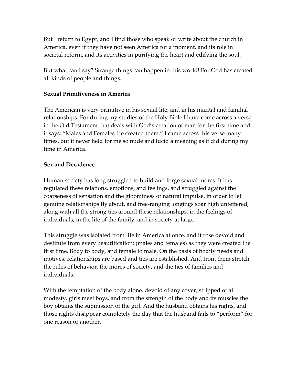But I return to Egypt, and I find those who speak or write about the church in America, even if they have not seen America for a moment, and its role in societal reform, and its activities in purifying the heart and edifying the soul.

But what can I say? Strange things can happen in this world! For God has created all kinds of people and things.

#### **Sexual Primitiveness in America**

The American is very primitive in his sexual life, and in his marital and familial relationships. For during my studies of the Holy Bible I have come across a verse in the Old Testament that deals with God's creation of man for the first time and it says: "Males and Females He created them." I came across this verse many times, but it never held for me so nude and lucid a meaning as it did during my time in America.

#### **Sex and Decadence**

Human society has long struggled to build and forge sexual mores. It has regulated these relations, emotions, and feelings, and struggled against the coarseness of sensation and the gloominess of natural impulse, in order to let genuine relationships fly about, and free‐ranging longings soar high unfettered, along with all the strong ties around these relationships, in the feelings of individuals, in the life of the family, and in society at large. . . .

This struggle was isolated from life in America at once, and it rose devoid and destitute from every beautification: (males and females) as they were created the first time. Body to body, and female to male. On the basis of bodily needs and motives, relationships are based and ties are established. And from them stretch the rules of behavior, the mores of society, and the ties of families and individuals.

With the temptation of the body alone, devoid of any cover, stripped of all modesty, girls meet boys, and from the strength of the body and its muscles the boy obtains the submission of the girl. And the husband obtains his rights, and those rights disappear completely the day that the husband fails to "perform" for one reason or another.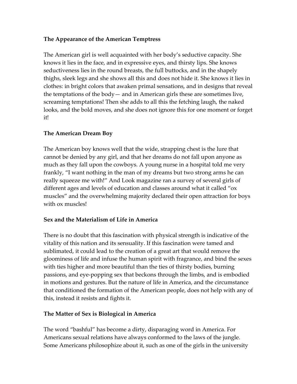# **The Appearance of the American Temptress**

The American girl is well acquainted with her body's seductive capacity. She knows it lies in the face, and in expressive eyes, and thirsty lips. She knows seductiveness lies in the round breasts, the full buttocks, and in the shapely thighs, sleek legs and she shows all this and does not hide it. She knows it lies in clothes: in bright colors that awaken primal sensations, and in designs that reveal the temptations of the body— and in American girls these are sometimes live, screaming temptations! Then she adds to all this the fetching laugh, the naked looks, and the bold moves, and she does not ignore this for one moment or forget it!

# **The American Dream Boy**

The American boy knows well that the wide, strapping chest is the lure that cannot be denied by any girl, and that her dreams do not fall upon anyone as much as they fall upon the cowboys. A young nurse in a hospital told me very frankly, "I want nothing in the man of my dreams but two strong arms he can really squeeze me with!" And Look magazine ran a survey of several girls of different ages and levels of education and classes around what it called "ox muscles" and the overwhelming majority declared their open attraction for boys with ox muscles!

# **Sex and the Materialism of Life in America**

There is no doubt that this fascination with physical strength is indicative of the vitality of this nation and its sensuality. If this fascination were tamed and sublimated, it could lead to the creation of a great art that would remove the gloominess of life and infuse the human spirit with fragrance, and bind the sexes with ties higher and more beautiful than the ties of thirsty bodies, burning passions, and eye‐popping sex that beckons through the limbs, and is embodied in motions and gestures. But the nature of life in America, and the circumstance that conditioned the formation of the American people, does not help with any of this, instead it resists and fights it.

# **The Matter of Sex is Biological in America**

The word "bashful" has become a dirty, disparaging word in America. For Americans sexual relations have always conformed to the laws of the jungle. Some Americans philosophize about it, such as one of the girls in the university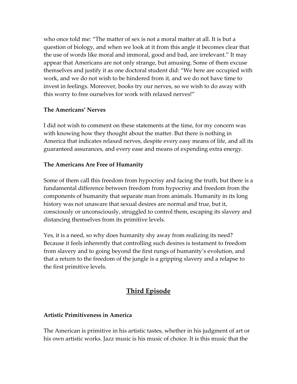who once told me: "The matter of sex is not a moral matter at all. It is but a question of biology, and when we look at it from this angle it becomes clear that the use of words like moral and immoral, good and bad, are irrelevant." It may appear that Americans are not only strange, but amusing. Some of them excuse themselves and justify it as one doctoral student did: "We here are occupied with work, and we do not wish to be hindered from it, and we do not have time to invest in feelings. Moreover, books try our nerves, so we wish to do away with this worry to free ourselves for work with relaxed nerves!"

# **The Americans' Nerves**

I did not wish to comment on these statements at the time, for my concern was with knowing how they thought about the matter. But there is nothing in America that indicates relaxed nerves, despite every easy means of life, and all its guaranteed assurances, and every ease and means of expending extra energy.

# **The Americans Are Free of Humanity**

Some of them call this freedom from hypocrisy and facing the truth, but there is a fundamental difference between freedom from hypocrisy and freedom from the components of humanity that separate man from animals. Humanity in its long history was not unaware that sexual desires are normal and true, but it, consciously or unconsciously, struggled to control them, escaping its slavery and distancing themselves from its primitive levels.

Yes, it is a need, so why does humanity shy away from realizing its need? Because it feels inherently that controlling such desires is testament to freedom from slavery and to going beyond the first rungs of humanity's evolution, and that a return to the freedom of the jungle is a gripping slavery and a relapse to the first primitive levels.

# **Third Episode**

# **Artistic Primitiveness in America**

The American is primitive in his artistic tastes, whether in his judgment of art or his own artistic works. Jazz music is his music of choice. It is this music that the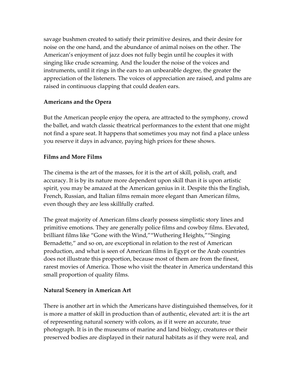savage bushmen created to satisfy their primitive desires, and their desire for noise on the one hand, and the abundance of animal noises on the other. The American's enjoyment of jazz does not fully begin until he couples it with singing like crude screaming. And the louder the noise of the voices and instruments, until it rings in the ears to an unbearable degree, the greater the appreciation of the listeners. The voices of appreciation are raised, and palms are raised in continuous clapping that could deafen ears.

# **Americans and the Opera**

But the American people enjoy the opera, are attracted to the symphony, crowd the ballet, and watch classic theatrical performances to the extent that one might not find a spare seat. It happens that sometimes you may not find a place unless you reserve it days in advance, paying high prices for these shows.

#### **Films and More Films**

The cinema is the art of the masses, for it is the art of skill, polish, craft, and accuracy. It is by its nature more dependent upon skill than it is upon artistic spirit, you may be amazed at the American genius in it. Despite this the English, French, Russian, and Italian films remain more elegant than American films, even though they are less skillfully crafted.

The great majority of American films clearly possess simplistic story lines and primitive emotions. They are generally police films and cowboy films. Elevated, brilliant films like "Gone with the Wind,""Wuthering Heights,""Singing Bernadette," and so on, are exceptional in relation to the rest of American production, and what is seen of American films in Egypt or the Arab countries does not illustrate this proportion, because most of them are from the finest, rarest movies of America. Those who visit the theater in America understand this small proportion of quality films.

#### **Natural Scenery in American Art**

There is another art in which the Americans have distinguished themselves, for it is more a matter of skill in production than of authentic, elevated art: it is the art of representing natural scenery with colors, as if it were an accurate, true photograph. It is in the museums of marine and land biology, creatures or their preserved bodies are displayed in their natural habitats as if they were real, and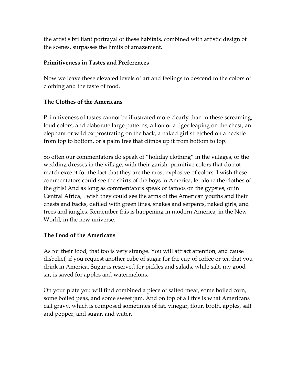the artist's brilliant portrayal of these habitats, combined with artistic design of the scenes, surpasses the limits of amazement.

#### **Primitiveness in Tastes and Preferences**

Now we leave these elevated levels of art and feelings to descend to the colors of clothing and the taste of food.

# **The Clothes of the Americans**

Primitiveness of tastes cannot be illustrated more clearly than in these screaming, loud colors, and elaborate large patterns, a lion or a tiger leaping on the chest, an elephant or wild ox prostrating on the back, a naked girl stretched on a necktie from top to bottom, or a palm tree that climbs up it from bottom to top.

So often our commentators do speak of "holiday clothing" in the villages, or the wedding dresses in the village, with their garish, primitive colors that do not match except for the fact that they are the most explosive of colors. I wish these commentators could see the shirts of the boys in America, let alone the clothes of the girls! And as long as commentators speak of tattoos on the gypsies, or in Central Africa, I wish they could see the arms of the American youths and their chests and backs, defiled with green lines, snakes and serpents, naked girls, and trees and jungles. Remember this is happening in modern America, in the New World, in the new universe.

# **The Food of the Americans**

As for their food, that too is very strange. You will attract attention, and cause disbelief, if you request another cube of sugar for the cup of coffee or tea that you drink in America. Sugar is reserved for pickles and salads, while salt, my good sir, is saved for apples and watermelons.

On your plate you will find combined a piece of salted meat, some boiled corn, some boiled peas, and some sweet jam. And on top of all this is what Americans call gravy, which is composed sometimes of fat, vinegar, flour, broth, apples, salt and pepper, and sugar, and water.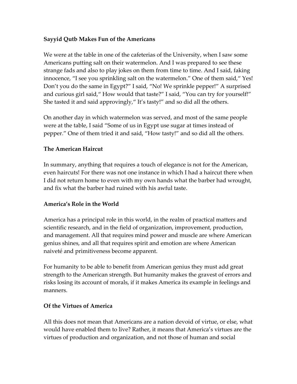# **Sayyid Qutb Makes Fun of the Americans**

We were at the table in one of the cafeterias of the University, when I saw some Americans putting salt on their watermelon. And I was prepared to see these strange fads and also to play jokes on them from time to time. And I said, faking innocence, "I see you sprinkling salt on the watermelon." One of them said," Yes! Don't you do the same in Egypt?" I said, "No! We sprinkle pepper!" A surprised and curious girl said," How would that taste?" I said, "You can try for yourself!" She tasted it and said approvingly," It's tasty!" and so did all the others.

On another day in which watermelon was served, and most of the same people were at the table, I said "Some of us in Egypt use sugar at times instead of pepper." One of them tried it and said, "How tasty!" and so did all the others.

# **The American Haircut**

In summary, anything that requires a touch of elegance is not for the American, even haircuts! For there was not one instance in which I had a haircut there when I did not return home to even with my own hands what the barber had wrought, and fix what the barber had ruined with his awful taste.

# **America's Role in the World**

America has a principal role in this world, in the realm of practical matters and scientific research, and in the field of organization, improvement, production, and management. All that requires mind power and muscle are where American genius shines, and all that requires spirit and emotion are where American naiveté and primitiveness become apparent.

For humanity to be able to benefit from American genius they must add great strength to the American strength. But humanity makes the gravest of errors and risks losing its account of morals, if it makes America its example in feelings and manners.

# **Of the Virtues of America**

All this does not mean that Americans are a nation devoid of virtue, or else, what would have enabled them to live? Rather, it means that America's virtues are the virtues of production and organization, and not those of human and social